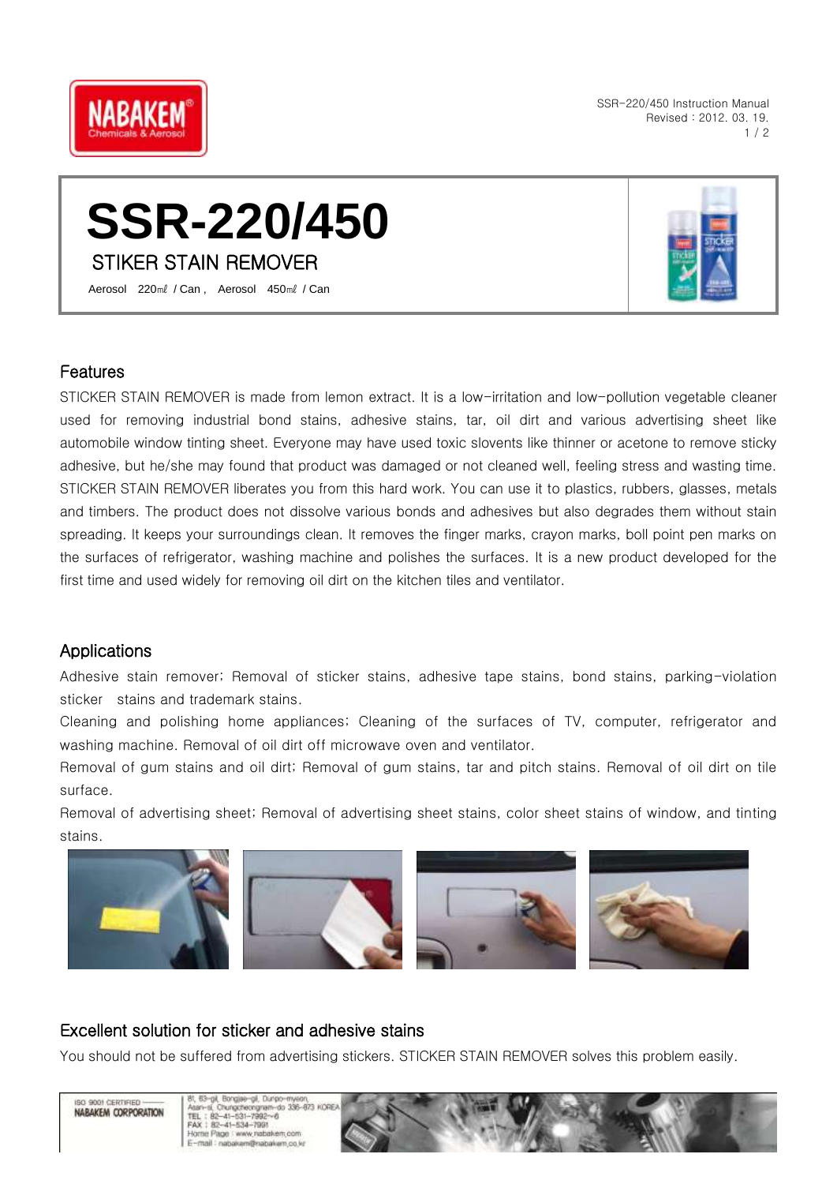

SSR-220/450 Instruction Manual Revised : 2012. 03. 19.  $1/2$ 

# **SSR-220/450** STIKER STAIN REMOVER

Aerosol 220㎖ / Can , Aerosol 450㎖ / Can

#### Features

STICKER STAIN REMOVER is made from lemon extract. It is a low-irritation and low-pollution vegetable cleaner used for removing industrial bond stains, adhesive stains, tar, oil dirt and various advertising sheet like automobile window tinting sheet. Everyone may have used toxic slovents like thinner or acetone to remove sticky adhesive, but he/she may found that product was damaged or not cleaned well, feeling stress and wasting time. STICKER STAIN REMOVER liberates you from this hard work. You can use it to plastics, rubbers, glasses, metals and timbers. The product does not dissolve various bonds and adhesives but also degrades them without stain spreading. It keeps your surroundings clean. It removes the finger marks, crayon marks, boll point pen marks on the surfaces of refrigerator, washing machine and polishes the surfaces. It is a new product developed for the first time and used widely for removing oil dirt on the kitchen tiles and ventilator.

### Applications

Adhesive stain remover; Removal of sticker stains, adhesive tape stains, bond stains, parking-violation sticker stains and trademark stains.

Cleaning and polishing home appliances; Cleaning of the surfaces of TV, computer, refrigerator and washing machine. Removal of oil dirt off microwave oven and ventilator.

Removal of gum stains and oil dirt; Removal of gum stains, tar and pitch stains. Removal of oil dirt on tile surface.

Removal of advertising sheet; Removal of advertising sheet stains, color sheet stains of window, and tinting stains.









## Excellent solution for sticker and adhesive stains

You should not be suffered from advertising stickers. STICKER STAIN REMOVER solves this problem easily.

ISO 9001 CERTIFIED NABAKEM CORPORATION

Bongiae-gil, Dunpo Asan-si, Chungcheongram-r<br>TEL: 82-41-531-7992~6<br>FAX: 82-41-534-7991 do 336-823 KORE Page : www.nabakem.co E-mail: napakem@nabakem.co.kr